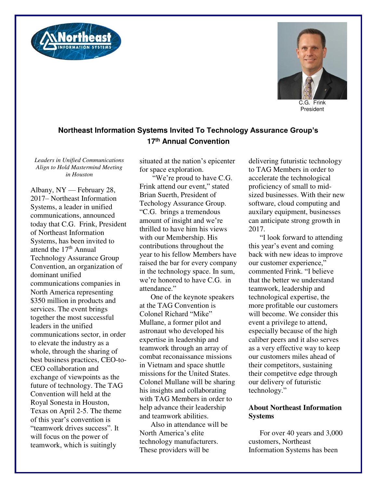



C.G. Frink President

## **Northeast Information Systems Invited To Technology Assurance Group's 17th Annual Convention**

*Leaders in Unified Communications Align to Hold Mastermind Meeting in Houston* 

Albany, NY — February 28, 2017– Northeast Information Systems, a leader in unified communications, announced today that C.G. Frink, President of Northeast Information Systems, has been invited to attend the 17<sup>th</sup> Annual Technology Assurance Group Convention, an organization of dominant unified communications companies in North America representing \$350 million in products and services. The event brings together the most successful leaders in the unified communications sector, in order to elevate the industry as a whole, through the sharing of best business practices, CEO-to-CEO collaboration and exchange of viewpoints as the future of technology. The TAG Convention will held at the Royal Sonesta in Houston, Texas on April 2-5. The theme of this year's convention is "teamwork drives success". It will focus on the power of teamwork, which is suitingly

situated at the nation's epicenter for space exploration.

"We're proud to have C.G. Frink attend our event," stated Brian Suerth, President of Techology Assurance Group. "C.G. brings a tremendous amount of insight and we're thrilled to have him his views with our Membership. His contributions throughout the year to his fellow Members have raised the bar for every company in the technology space. In sum, we're honored to have C.G. in attendance."

One of the keynote speakers at the TAG Convention is Colonel Richard "Mike" Mullane, a former pilot and astronaut who developed his expertise in leadership and teamwork through an array of combat reconaissance missions in Vietnam and space shuttle missions for the United States. Colonel Mullane will be sharing his insights and collaborating with TAG Members in order to help advance their leadership and teamwork abilities.

Also in attendance will be North America's elite technology manufacturers. These providers will be

delivering futuristic technology to TAG Members in order to accelerate the technological proficiency of small to midsized businesses. With their new software, cloud computing and auxilary equipment, businesses can anticipate strong growth in 2017.

"I look forward to attending this year's event and coming back with new ideas to improve our customer experience," commented Frink. "I believe that the better we understand teamwork, leadership and technological expertise, the more profitable our customers will become. We consider this event a privilege to attend, especially because of the high caliber peers and it also serves as a very effective way to keep our customers miles ahead of their competitors, sustaining their competitve edge through our delivery of futuristic technology."

## **About Northeast Information Systems**

For over 40 years and 3,000 customers, Northeast Information Systems has been